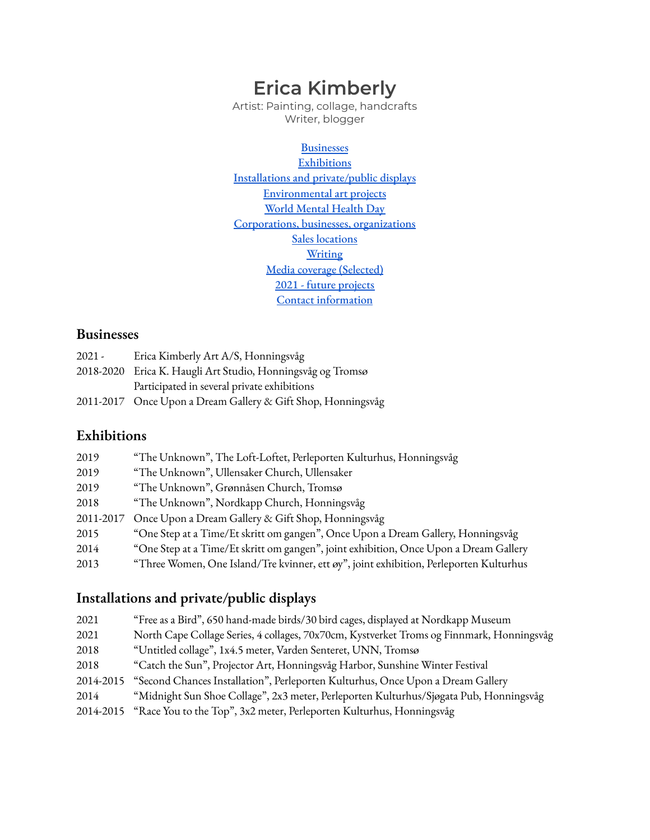# **Erica Kimberly**

Artist: Painting, collage, handcrafts Writer, blogger

**[Businesses](#page-0-0) [Exhibitions](#page-0-1)** Installations and [private/public](#page-0-2) displays [Environmental](#page-1-0) art projects World [Mental](#page-1-1) Health Day [Corporations,](#page-1-2) businesses, organizations Sales [locations](#page-1-3) **[Writing](#page-1-4)** Media coverage [\(Selected\)](#page-2-0) 2021 - future [projects](#page-2-1) Contact [information](#page-2-2)

#### <span id="page-0-0"></span>**Businesses**

| $2021 -$ | Erica Kimberly Art A/S, Honningsvåg                          |
|----------|--------------------------------------------------------------|
|          | 2018-2020 Erica K. Haugli Art Studio, Honningsvåg og Tromsø  |
|          | Participated in several private exhibitions                  |
|          | 2011-2017 Once Upon a Dream Gallery & Gift Shop, Honningsvåg |

## <span id="page-0-1"></span>**Exhibitions**

| 2019      | "The Unknown", The Loft-Loftet, Perleporten Kulturhus, Honningsvåg                     |
|-----------|----------------------------------------------------------------------------------------|
| 2019      | "The Unknown", Ullensaker Church, Ullensaker                                           |
| 2019      | "The Unknown", Grønnåsen Church, Tromsø                                                |
| 2018      | "The Unknown", Nordkapp Church, Honningsvåg                                            |
| 2011-2017 | Once Upon a Dream Gallery & Gift Shop, Honningsvåg                                     |
| 2015      | "One Step at a Time/Et skritt om gangen", Once Upon a Dream Gallery, Honningsvåg       |
| 2014      | "One Step at a Time/Et skritt om gangen", joint exhibition, Once Upon a Dream Gallery  |
| 2013      | "Three Women, One Island/Tre kvinner, ett øy", joint exhibition, Perleporten Kulturhus |

# <span id="page-0-2"></span>**Installations and private/public displays**

| 2021      | "Free as a Bird", 650 hand-made birds/30 bird cages, displayed at Nordkapp Museum         |
|-----------|-------------------------------------------------------------------------------------------|
| 2021      | North Cape Collage Series, 4 collages, 70x70cm, Kystverket Troms og Finnmark, Honningsvåg |
| 2018      | "Untitled collage", 1x4.5 meter, Varden Senteret, UNN, Tromsø                             |
| 2018      | "Catch the Sun", Projector Art, Honningsvåg Harbor, Sunshine Winter Festival              |
| 2014-2015 | "Second Chances Installation", Perleporten Kulturhus, Once Upon a Dream Gallery           |
| 2014      | "Midnight Sun Shoe Collage", 2x3 meter, Perleporten Kulturhus/Sjøgata Pub, Honningsvåg    |
| 2014-2015 | "Race You to the Top", 3x2 meter, Perleporten Kulturhus, Honningsvåg                      |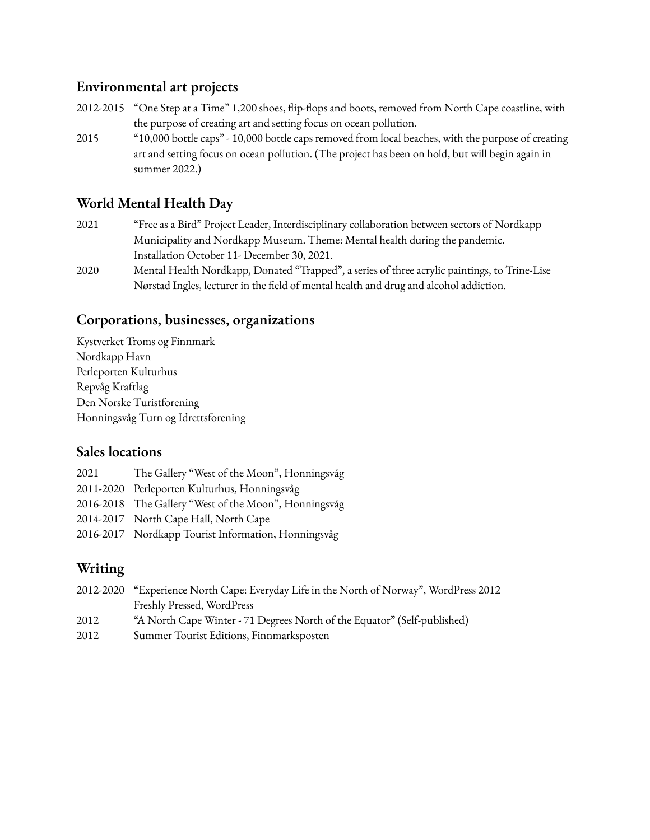## <span id="page-1-0"></span>**Environmental art projects**

- 2012-2015 "One Step at a Time" 1,200 shoes, flip-flops and boots, removed from North Cape coastline, with the purpose of creating art and setting focus on ocean pollution.
- 2015 "10,000 bottle caps" 10,000 bottle caps removed from local beaches, with the purpose of creating art and setting focus on ocean pollution. (The project has been on hold, but will begin again in summer 2022.)

## <span id="page-1-1"></span>**World Mental Health Day**

- 2021 "Free as a Bird" Project Leader, Interdisciplinary collaboration between sectors of Nordkapp Municipality and Nordkapp Museum. Theme: Mental health during the pandemic. Installation October 11- December 30, 2021.
- 2020 Mental Health Nordkapp, Donated "Trapped", a series of three acrylic paintings, to Trine-Lise Nørstad Ingles, lecturer in the field of mental health and drug and alcohol addiction.

#### <span id="page-1-2"></span>**Corporations, businesses, organizations**

Kystverket Troms og Finnmark Nordkapp Havn Perleporten Kulturhus Repvåg Kraftlag Den Norske Turistforening Honningsvåg Turn og Idrettsforening

#### <span id="page-1-3"></span>**Sales locations**

2021 The Gallery "West of the Moon", Honningsvåg 2011-2020 Perleporten Kulturhus, Honningsvåg 2016-2018 The Gallery "West of the Moon", Honningsvåg 2014-2017 North Cape Hall, North Cape 2016-2017 Nordkapp Tourist Information, Honningsvåg

# <span id="page-1-4"></span>**Writing**

|      | 2012-2020 "Experience North Cape: Everyday Life in the North of Norway", WordPress 2012 |
|------|-----------------------------------------------------------------------------------------|
|      | Freshly Pressed, WordPress                                                              |
| 2012 | "A North Cape Winter - 71 Degrees North of the Equator" (Self-published)                |
| 2012 | Summer Tourist Editions, Finnmarksposten                                                |